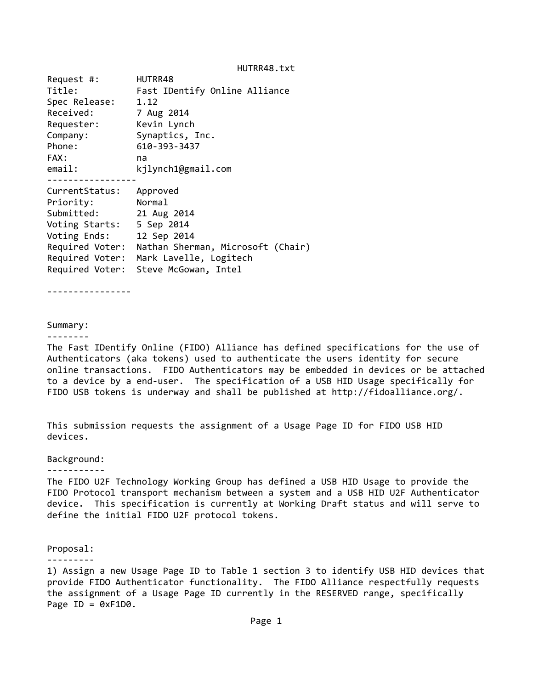| Request #:      | HUTRR48                                |
|-----------------|----------------------------------------|
| Title:          | Fast IDentify Online Alliance          |
| Spec Release:   | 1.12                                   |
| Received:       | 7 Aug 2014                             |
| Requester:      | Kevin Lynch                            |
| Company:        | Synaptics, Inc.                        |
| Phone:          | 610-393-3437                           |
| FAX:            | na                                     |
| email:          | kjlynch1@gmail.com                     |
|                 |                                        |
| CurrentStatus:  | Approved                               |
| Priority:       | Normal                                 |
| Submitted:      | 21 Aug 2014                            |
| Voting Starts:  | 5 Sep 2014                             |
| Voting Ends:    | 12 Sep 2014                            |
| Required Voter: | Nathan Sherman, Microsoft (Chair)      |
|                 | Required Voter: Mark Lavelle, Logitech |
|                 | Required Voter: Steve McGowan, Intel   |
|                 |                                        |

‐‐‐‐‐‐‐‐‐‐‐‐‐‐‐‐

#### Summary: ‐‐‐‐‐‐‐‐

The Fast IDentify Online (FIDO) Alliance has defined specifications for the use of Authenticators (aka tokens) used to authenticate the users identity for secure online transactions. FIDO Authenticators may be embedded in devices or be attached to a device by a end‐user. The specification of a USB HID Usage specifically for FIDO USB tokens is underway and shall be published at http://fidoalliance.org/.

This submission requests the assignment of a Usage Page ID for FIDO USB HID devices.

#### Background:

#### ‐‐‐‐‐‐‐‐‐‐‐

The FIDO U2F Technology Working Group has defined a USB HID Usage to provide the FIDO Protocol transport mechanism between a system and a USB HID U2F Authenticator device. This specification is currently at Working Draft status and will serve to define the initial FIDO U2F protocol tokens.

#### Proposal:

#### ‐‐‐‐‐‐‐‐‐

1) Assign a new Usage Page ID to Table 1 section 3 to identify USB HID devices that provide FIDO Authenticator functionality. The FIDO Alliance respectfully requests the assignment of a Usage Page ID currently in the RESERVED range, specifically Page  $ID = 0 \times F1D0$ .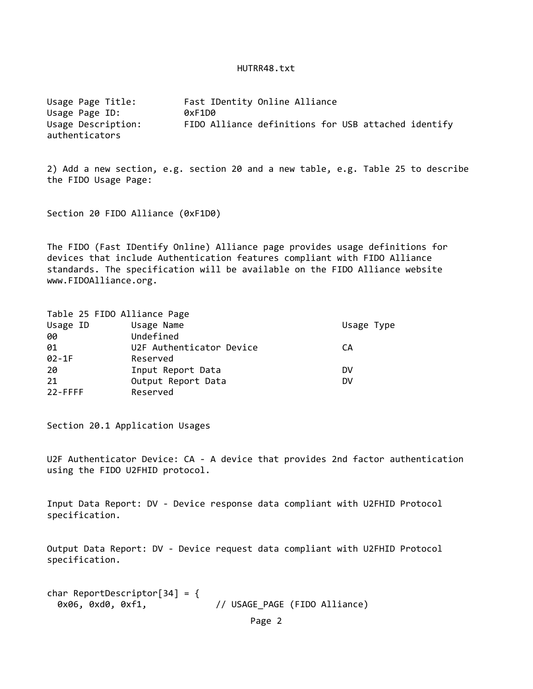Usage Page Title: Fast IDentity Online Alliance Usage Page ID: 0xF1D0 Usage Description: FIDO Alliance definitions for USB attached identify authenticators

2) Add a new section, e.g. section 20 and a new table, e.g. Table 25 to describe the FIDO Usage Page:

Section 20 FIDO Alliance (0xF1D0)

The FIDO (Fast IDentify Online) Alliance page provides usage definitions for devices that include Authentication features compliant with FIDO Alliance standards. The specification will be available on the FIDO Alliance website www.FIDOAlliance.org.

|            | Table 25 FIDO Alliance Page |            |
|------------|-----------------------------|------------|
| Usage ID   | Usage Name                  | Usage Type |
| 00         | Undefined                   |            |
| 01         | U2F Authenticator Device    | CА         |
| $02 - 1F$  | Reserved                    |            |
| 20         | Input Report Data           | DV         |
| 21         | Output Report Data          | DV         |
| $22$ -FFFF | Reserved                    |            |
|            |                             |            |

Section 20.1 Application Usages

U2F Authenticator Device: CA ‐ A device that provides 2nd factor authentication using the FIDO U2FHID protocol.

Input Data Report: DV ‐ Device response data compliant with U2FHID Protocol specification.

Output Data Report: DV ‐ Device request data compliant with U2FHID Protocol specification.

char ReportDescriptor $[34] = \{$ 0x06, 0xd0, 0xf1,  $\frac{1}{1}$  // USAGE\_PAGE (FIDO Alliance)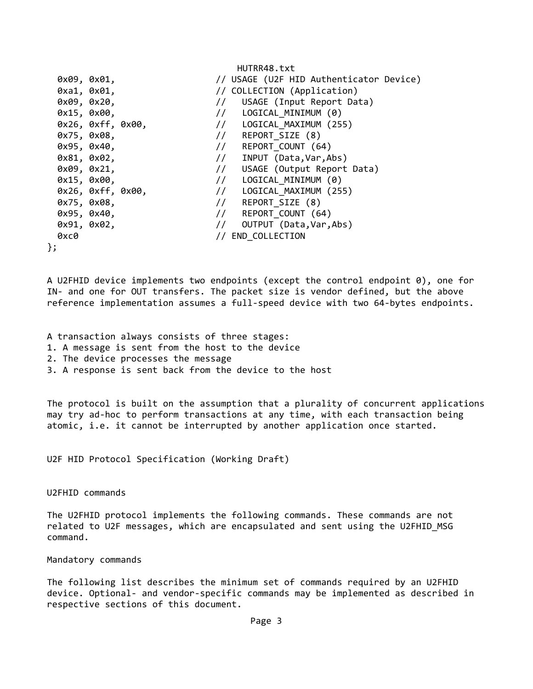|                   |  | HUIKK40.LXL                             |
|-------------------|--|-----------------------------------------|
| 0x09, 0x01,       |  | // USAGE (U2F HID Authenticator Device) |
| 0xa1, 0x01,       |  | // COLLECTION (Application)             |
| 0x09, 0x20,       |  | // USAGE (Input Report Data)            |
| 0x15, 0x00,       |  | // LOGICAL MINIMUM (0)                  |
| 0x26, 0xff, 0x00, |  | // LOGICAL MAXIMUM (255)                |
| 0x75, 0x08,       |  | // REPORT_SIZE (8)                      |
| 0x95, 0x40,       |  | // REPORT COUNT (64)                    |
| 0x81, 0x02,       |  | // INPUT (Data, Var, Abs)               |
| 0x09, 0x21,       |  | // USAGE (Output Report Data)           |
| 0x15, 0x00,       |  | // LOGICAL MINIMUM (0)                  |
| 0x26, 0xff, 0x00, |  | // LOGICAL MAXIMUM (255)                |
| 0x75, 0x08,       |  | // REPORT SIZE (8)                      |
| 0x95, 0x40,       |  | // REPORT COUNT (64)                    |
| 0x91, 0x02,       |  | // OUTPUT (Data, Var, Abs)              |
| 0xc0              |  | // END COLLECTION                       |
|                   |  |                                         |

 $H = \frac{1}{2}$ 

A U2FHID device implements two endpoints (except the control endpoint 0), one for IN‐ and one for OUT transfers. The packet size is vendor defined, but the above reference implementation assumes a full-speed device with two 64-bytes endpoints.

A transaction always consists of three stages:

- 1. A message is sent from the host to the device
- 2. The device processes the message
- 3. A response is sent back from the device to the host

The protocol is built on the assumption that a plurality of concurrent applications may try ad-hoc to perform transactions at any time, with each transaction being atomic, i.e. it cannot be interrupted by another application once started.

U2F HID Protocol Specification (Working Draft)

# U2FHID commands

The U2FHID protocol implements the following commands. These commands are not related to U2F messages, which are encapsulated and sent using the U2FHID\_MSG command.

### Mandatory commands

The following list describes the minimum set of commands required by an U2FHID device. Optional- and vendor-specific commands may be implemented as described in respective sections of this document.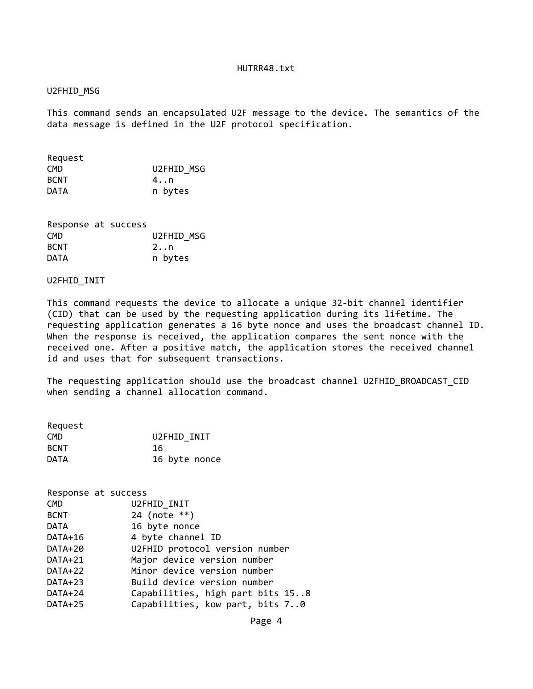# U2FHID\_MSG

This command sends an encapsulated U2F message to the device. The semantics of the data message is defined in the U2F protocol specification.

| Request     |            |
|-------------|------------|
| CMD.        | U2FHID MSG |
| <b>BCNT</b> | 4n         |
| DATA        | n bytes    |

| Response at success |  |              |
|---------------------|--|--------------|
| CMD.                |  | U2FHID MSG   |
| <b>BCNT</b>         |  | $2 \ldots n$ |
| DATA                |  | n bytes      |

### U2FHID\_INIT

This command requests the device to allocate a unique 32‐bit channel identifier (CID) that can be used by the requesting application during its lifetime. The requesting application generates a 16 byte nonce and uses the broadcast channel ID. When the response is received, the application compares the sent nonce with the received one. After a positive match, the application stores the received channel id and uses that for subsequent transactions.

The requesting application should use the broadcast channel U2FHID\_BROADCAST\_CID when sending a channel allocation command.

| Request     |               |
|-------------|---------------|
| <b>CMD</b>  | U2FHID INIT   |
| <b>BCNT</b> | 16            |
| <b>DATA</b> | 16 byte nonce |

| Response at success |                                  |
|---------------------|----------------------------------|
| <b>CMD</b>          | U2FHID INIT                      |
| <b>BCNT</b>         | 24 (note $**$ )                  |
| <b>DATA</b>         | 16 byte nonce                    |
| DATA+16             | 4 byte channel ID                |
| DATA+20             | U2FHID protocol version number   |
| DATA+21             | Major device version number      |
| DATA+22             | Minor device version number      |
| DATA+23             | Build device version number      |
| DATA+24             | Capabilities, high part bits 158 |
| DATA+25             | Capabilities, kow part, bits 70  |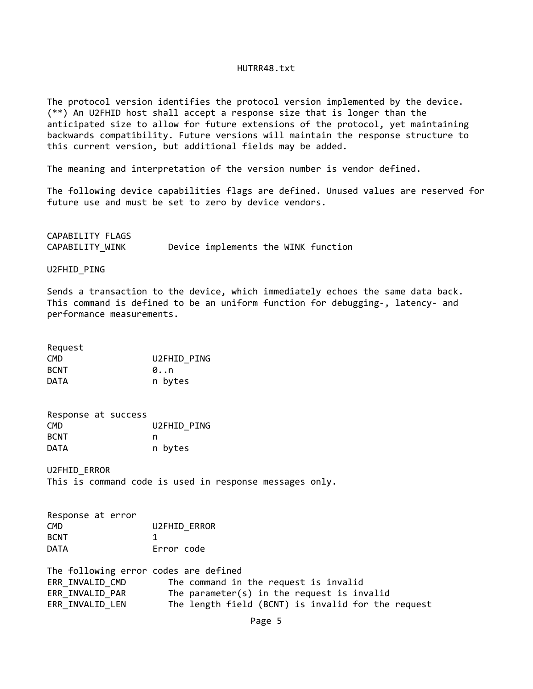The protocol version identifies the protocol version implemented by the device. (\*\*) An U2FHID host shall accept a response size that is longer than the anticipated size to allow for future extensions of the protocol, yet maintaining backwards compatibility. Future versions will maintain the response structure to this current version, but additional fields may be added.

The meaning and interpretation of the version number is vendor defined.

The following device capabilities flags are defined. Unused values are reserved for future use and must be set to zero by device vendors.

CAPABILITY FLAGS CAPABILITY WINK Device implements the WINK function

U2FHID\_PING

Sends a transaction to the device, which immediately echoes the same data back. This command is defined to be an uniform function for debugging‐, latency‐ and performance measurements.

Request CMD U2FHID\_PING BCNT 0..n DATA n bytes

| Response at success |  |             |
|---------------------|--|-------------|
| <b>CMD</b>          |  | U2FHID PING |
| <b>BCNT</b>         |  | n           |
| <b>DATA</b>         |  | n bytes     |

U2FHID\_ERROR This is command code is used in response messages only.

|  | <b>U2FHID ERROR</b> |
|--|---------------------|
|  |                     |
|  | Error code          |
|  | Response at error   |

The following error codes are defined ERR INVALID CMD The command in the request is invalid ERR\_INVALID\_PAR The parameter(s) in the request is invalid ERR\_INVALID\_LEN The length field (BCNT) is invalid for the request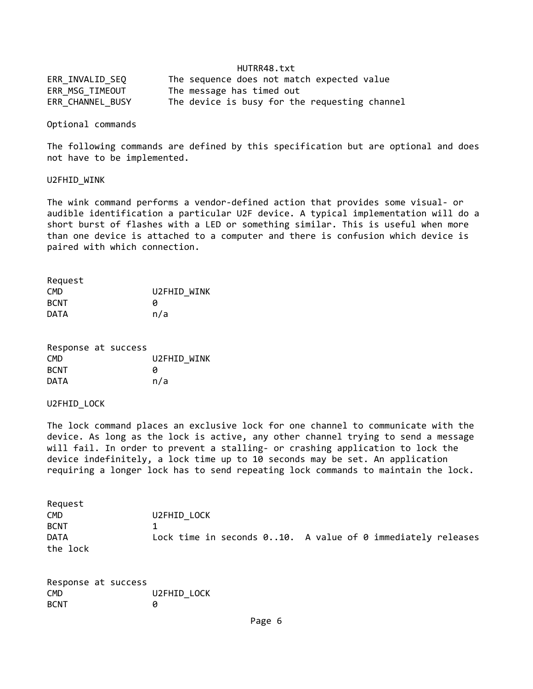| ERR INVALID SEQ  | The sequence does not match expected value    |
|------------------|-----------------------------------------------|
| ERR_MSG_TIMEOUT  | The message has timed out                     |
| ERR CHANNEL BUSY | The device is busy for the requesting channel |

Optional commands

The following commands are defined by this specification but are optional and does not have to be implemented.

#### U2FHID\_WINK

The wink command performs a vendor‐defined action that provides some visual‐ or audible identification a particular U2F device. A typical implementation will do a short burst of flashes with a LED or something similar. This is useful when more than one device is attached to a computer and there is confusion which device is paired with which connection.

| Request     |             |
|-------------|-------------|
| <b>CMD</b>  | U2FHID WINK |
| <b>BCNT</b> | a           |
| <b>DATA</b> | n/a         |

| Response at success |  |             |
|---------------------|--|-------------|
| <b>CMD</b>          |  | U2FHID WINK |
| <b>BCNT</b>         |  | и           |
| <b>DATA</b>         |  | n/a         |

### U2FHID\_LOCK

The lock command places an exclusive lock for one channel to communicate with the device. As long as the lock is active, any other channel trying to send a message will fail. In order to prevent a stalling‐ or crashing application to lock the device indefinitely, a lock time up to 10 seconds may be set. An application requiring a longer lock has to send repeating lock commands to maintain the lock.

| Request     |                                                             |
|-------------|-------------------------------------------------------------|
| <b>CMD</b>  | U2FHID LOCK                                                 |
| <b>BCNT</b> |                                                             |
| <b>DATA</b> | Lock time in seconds 010. A value of 0 immediately releases |
| the lock    |                                                             |

| Response at success |  |             |  |
|---------------------|--|-------------|--|
| CMD.                |  | U2FHID LOCK |  |
| <b>BCNT</b>         |  | n           |  |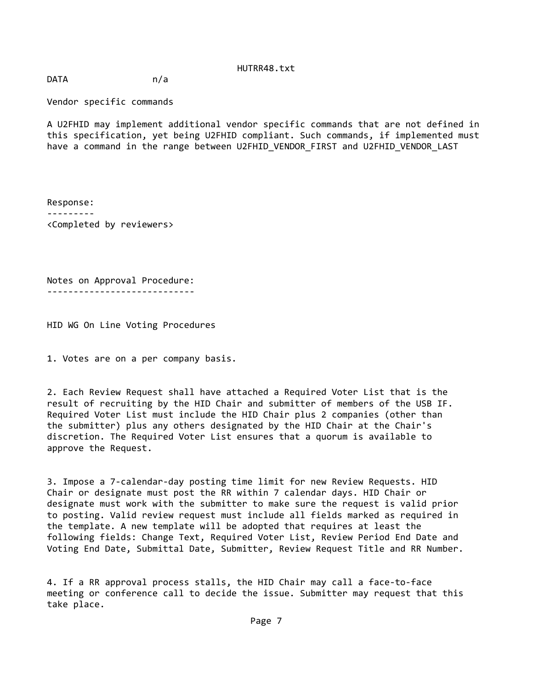DATA n/a

Vendor specific commands

A U2FHID may implement additional vendor specific commands that are not defined in this specification, yet being U2FHID compliant. Such commands, if implemented must have a command in the range between U2FHID VENDOR FIRST and U2FHID VENDOR LAST

Response: ‐‐‐‐‐‐‐‐‐ <Completed by reviewers>

Notes on Approval Procedure: ‐‐‐‐‐‐‐‐‐‐‐‐‐‐‐‐‐‐‐‐‐‐‐‐‐‐‐‐

HID WG On Line Voting Procedures

1. Votes are on a per company basis.

2. Each Review Request shall have attached a Required Voter List that is the result of recruiting by the HID Chair and submitter of members of the USB IF. Required Voter List must include the HID Chair plus 2 companies (other than the submitter) plus any others designated by the HID Chair at the Chair's discretion. The Required Voter List ensures that a quorum is available to approve the Request.

3. Impose a 7‐calendar‐day posting time limit for new Review Requests. HID Chair or designate must post the RR within 7 calendar days. HID Chair or designate must work with the submitter to make sure the request is valid prior to posting. Valid review request must include all fields marked as required in the template. A new template will be adopted that requires at least the following fields: Change Text, Required Voter List, Review Period End Date and Voting End Date, Submittal Date, Submitter, Review Request Title and RR Number.

4. If a RR approval process stalls, the HID Chair may call a face‐to‐face meeting or conference call to decide the issue. Submitter may request that this take place.